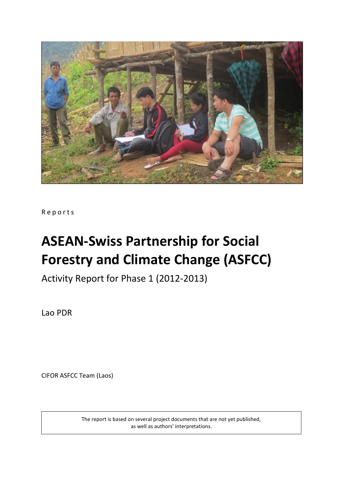

R e p o r t s

# **ASEAN-Swiss Partnership for Social Forestry and Climate Change (ASFCC)**

Activity Report for Phase 1 (2012-2013)

Lao PDR

CIFOR ASFCC Team (Laos)

The report is based on several project documents that are not yet published, as well as authors' interpretations.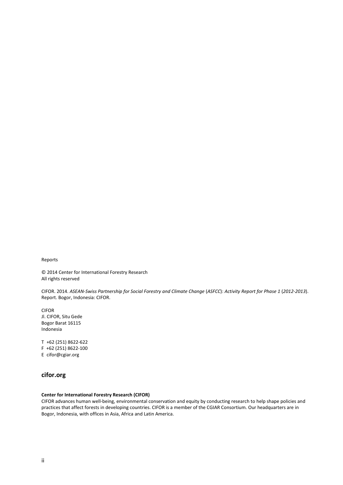Reports

© 2014 Center for International Forestry Research All rights reserved

CIFOR. 2014. *ASEAN-Swiss Partnership for Social Forestry and Climate Change* (*ASFCC*): *Activity Report for Phase 1* (*2012-2013*). Report. Bogor, Indonesia: CIFOR.

CIFOR Jl. CIFOR, Situ Gede Bogor Barat 16115 Indonesia

T +62 (251) 8622-622 F +62 (251) 8622-100 E cifor@cgiar.org

#### **cifor.org**

#### **Center for International Forestry Research (CIFOR)**

CIFOR advances human well-being, environmental conservation and equity by conducting research to help shape policies and practices that affect forests in developing countries. CIFOR is a member of the CGIAR Consortium. Our headquarters are in Bogor, Indonesia, with offices in Asia, Africa and Latin America.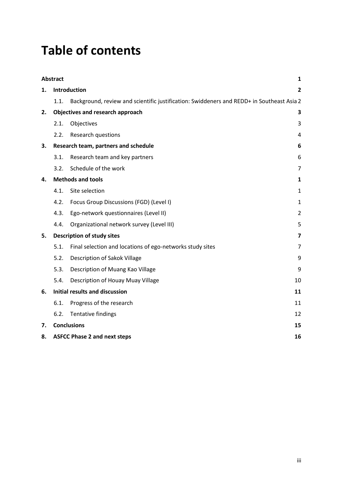# **Table of contents**

|    | <b>Abstract</b>                           |                                                                                           | 1                       |  |  |
|----|-------------------------------------------|-------------------------------------------------------------------------------------------|-------------------------|--|--|
| 1. |                                           | <b>Introduction</b>                                                                       | $\overline{\mathbf{2}}$ |  |  |
|    | 1.1.                                      | Background, review and scientific justification: Swiddeners and REDD+ in Southeast Asia 2 |                         |  |  |
| 2. |                                           | Objectives and research approach                                                          | 3                       |  |  |
|    | 2.1.                                      | Objectives                                                                                | 3                       |  |  |
|    | 2.2.                                      | <b>Research questions</b>                                                                 | 4                       |  |  |
| 3. |                                           | Research team, partners and schedule                                                      | 6                       |  |  |
|    | 3.1.                                      | Research team and key partners                                                            | 6                       |  |  |
|    | 3.2.                                      | Schedule of the work                                                                      | 7                       |  |  |
| 4. |                                           | <b>Methods and tools</b>                                                                  | 1                       |  |  |
|    | 4.1.                                      | Site selection                                                                            | 1                       |  |  |
|    | 4.2.                                      | Focus Group Discussions (FGD) (Level I)                                                   | $\mathbf{1}$            |  |  |
|    | 4.3.                                      | Ego-network questionnaires (Level II)                                                     | 2                       |  |  |
|    | 4.4.                                      | Organizational network survey (Level III)                                                 | 5                       |  |  |
| 5. |                                           | <b>Description of study sites</b>                                                         | 7                       |  |  |
|    | 5.1.                                      | Final selection and locations of ego-networks study sites                                 | 7                       |  |  |
|    | 5.2.                                      | Description of Sakok Village                                                              | 9                       |  |  |
|    | 5.3.                                      | Description of Muang Kao Village                                                          | 9                       |  |  |
|    | 5.4.                                      | Description of Houay Muay Village                                                         | 10                      |  |  |
| 6. |                                           | <b>Initial results and discussion</b>                                                     | 11                      |  |  |
|    | 6.1.                                      | Progress of the research                                                                  | 11                      |  |  |
|    | 6.2.                                      | Tentative findings                                                                        | 12                      |  |  |
| 7. | <b>Conclusions</b><br>15                  |                                                                                           |                         |  |  |
| 8. | <b>ASFCC Phase 2 and next steps</b><br>16 |                                                                                           |                         |  |  |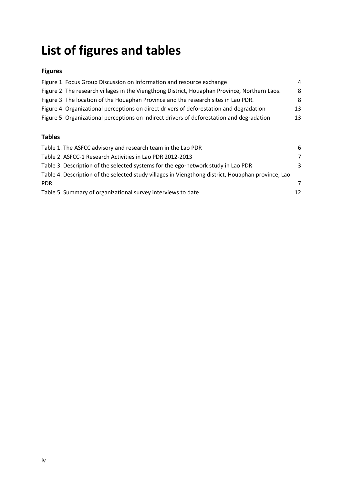# **List of figures and tables**

### **Figures**

| Figure 1. Focus Group Discussion on information and resource exchange                         | 4  |
|-----------------------------------------------------------------------------------------------|----|
| Figure 2. The research villages in the Viengthong District, Houaphan Province, Northern Laos. | 8  |
| Figure 3. The location of the Houaphan Province and the research sites in Lao PDR.            | 8  |
| Figure 4. Organizational perceptions on direct drivers of deforestation and degradation       | 13 |
| Figure 5. Organizational perceptions on indirect drivers of deforestation and degradation     | 13 |
|                                                                                               |    |

### **Tables**

| Table 1. The ASFCC advisory and research team in the Lao PDR                                       | 6              |
|----------------------------------------------------------------------------------------------------|----------------|
| Table 2. ASFCC-1 Research Activities in Lao PDR 2012-2013                                          | $\overline{7}$ |
| Table 3. Description of the selected systems for the ego-network study in Lao PDR                  | 3              |
| Table 4. Description of the selected study villages in Viengthong district, Houaphan province, Lao |                |
| PDR.                                                                                               | 7              |
| Table 5. Summary of organizational survey interviews to date                                       | 12             |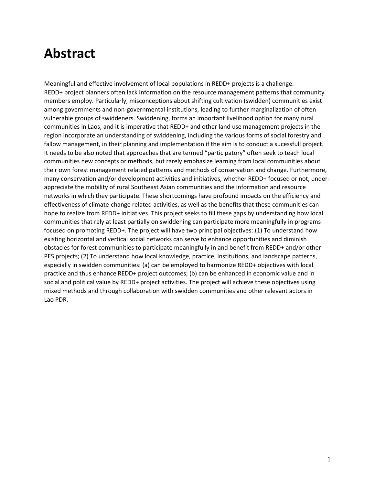### **Abstract**

Meaningful and effective involvement of local populations in REDD+ projects is a challenge. REDD+ project planners often lack information on the resource management patterns that community members employ. Particularly, misconceptions about shifting cultivation (swidden) communities exist among governments and non-governmental institutions, leading to further marginalization of often vulnerable groups of swiddeners. Swiddening, forms an important livelihood option for many rural communities in Laos, and it is imperative that REDD+ and other land use management projects in the region incorporate an understanding of swiddening, including the various forms of social forestry and fallow management, in their planning and implementation if the aim is to conduct a sucessfull project. It needs to be also noted that approaches that are termed "participatory" often seek to teach local communities new concepts or methods, but rarely emphasize learning from local communities about their own forest management related patterns and methods of conservation and change. Furthermore, many conservation and/or development activities and initiatives, whether REDD+ focused or not, underappreciate the mobility of rural Southeast Asian communities and the information and resource networks in which they participate. These shortcomings have profound impacts on the efficiency and effectiveness of climate-change related activities, as well as the benefits that these communities can hope to realize from REDD+ initiatives. This project seeks to fill these gaps by understanding how local communities that rely at least partially on swiddening can participate more meaningfully in programs focused on promoting REDD+. The project will have two principal objectives: (1) To understand how existing horizontal and vertical social networks can serve to enhance opportunities and diminish obstacles for forest communities to participate meaningfully in and benefit from REDD+ and/or other PES projects; (2) To understand how local knowledge, practice, institutions, and landscape patterns, especially in swidden communities: (a) can be employed to harmonize REDD+ objectives with local practice and thus enhance REDD+ project outcomes; (b) can be enhanced in economic value and in social and political value by REDD+ project activities. The project will achieve these objectives using mixed methods and through collaboration with swidden communities and other relevant actors in Lao PDR.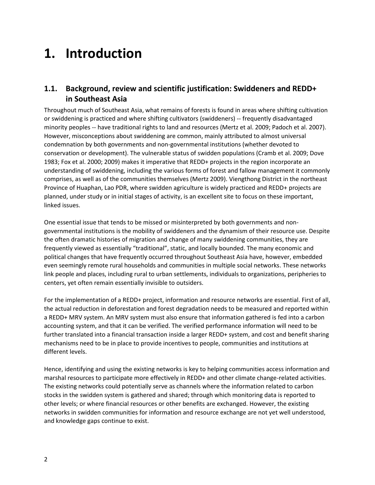### **1. Introduction**

### **1.1. Background, review and scientific justification: Swiddeners and REDD+ in Southeast Asia**

Throughout much of Southeast Asia, what remains of forests is found in areas where shifting cultivation or swiddening is practiced and where shifting cultivators (swiddeners) -- frequently disadvantaged minority peoples -- have traditional rights to land and resources (Mertz et al. 2009; Padoch et al. 2007). However, misconceptions about swiddening are common, mainly attributed to almost universal condemnation by both governments and non-governmental institutions (whether devoted to conservation or development). The vulnerable status of swidden populations (Cramb et al. 2009; Dove 1983; Fox et al. 2000; 2009) makes it imperative that REDD+ projects in the region incorporate an understanding of swiddening, including the various forms of forest and fallow management it commonly comprises, as well as of the communities themselves (Mertz 2009). Viengthong District in the northeast Province of Huaphan, Lao PDR, where swidden agriculture is widely practiced and REDD+ projects are planned, under study or in initial stages of activity, is an excellent site to focus on these important, linked issues.

One essential issue that tends to be missed or misinterpreted by both governments and nongovernmental institutions is the mobility of swiddeners and the dynamism of their resource use. Despite the often dramatic histories of migration and change of many swiddening communities, they are frequently viewed as essentially "traditional", static, and locally bounded. The many economic and political changes that have frequently occurred throughout Southeast Asia have, however, embedded even seemingly remote rural households and communities in multiple social networks. These networks link people and places, including rural to urban settlements, individuals to organizations, peripheries to centers, yet often remain essentially invisible to outsiders.

For the implementation of a REDD+ project, information and resource networks are essential. First of all, the actual reduction in deforestation and forest degradation needs to be measured and reported within a REDD+ MRV system. An MRV system must also ensure that information gathered is fed into a carbon accounting system, and that it can be verified. The verified performance information will need to be further translated into a financial transaction inside a larger REDD+ system, and cost and benefit sharing mechanisms need to be in place to provide incentives to people, communities and institutions at different levels.

Hence, identifying and using the existing networks is key to helping communities access information and marshal resources to participate more effectively in REDD+ and other climate change-related activities. The existing networks could potentially serve as channels where the information related to carbon stocks in the swidden system is gathered and shared; through which monitoring data is reported to other levels; or where financial resources or other benefits are exchanged. However, the existing networks in swidden communities for information and resource exchange are not yet well understood, and knowledge gaps continue to exist.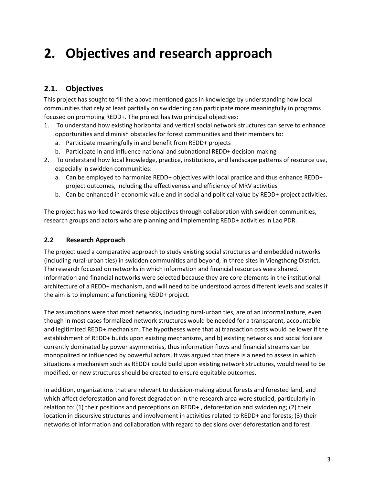## **2. Objectives and research approach**

### **2.1. Objectives**

This project has sought to fill the above mentioned gaps in knowledge by understanding how local communities that rely at least partially on swiddening can participate more meaningfully in programs focused on promoting REDD+. The project has two principal objectives:

- 1. To understand how existing horizontal and vertical social network structures can serve to enhance opportunities and diminish obstacles for forest communities and their members to:
	- a. Participate meaningfully in and benefit from REDD+ projects
	- b. Participate in and influence national and subnational REDD+ decision-making
- 2. To understand how local knowledge, practice, institutions, and landscape patterns of resource use, especially in swidden communities:
	- a. Can be employed to harmonize REDD+ objectives with local practice and thus enhance REDD+ project outcomes, including the effectiveness and efficiency of MRV activities
	- b. Can be enhanced in economic value and in social and political value by REDD+ project activities.

The project has worked towards these objectives through collaboration with swidden communities, research groups and actors who are planning and implementing REDD+ activities in Lao PDR.

#### **2.2 Research Approach**

The project used a comparative approach to study existing social structures and embedded networks (including rural-urban ties) in swidden communities and beyond, in three sites in Viengthong District. The research focused on networks in which information and financial resources were shared. Information and financial networks were selected because they are core elements in the institutional architecture of a REDD+ mechanism, and will need to be understood across different levels and scales if the aim is to implement a functioning REDD+ project.

The assumptions were that most networks, including rural-urban ties, are of an informal nature, even though in most cases formalized network structures would be needed for a transparent, accountable and legitimized REDD+ mechanism. The hypotheses were that a) transaction costs would be lower if the establishment of REDD+ builds upon existing mechanisms, and b) existing networks and social foci are currently dominated by power asymmetries, thus information flows and financial streams can be monopolized or influenced by powerful actors. It was argued that there is a need to assess in which situations a mechanism such as REDD+ could build upon existing network structures, would need to be modified, or new structures should be created to ensure equitable outcomes.

In addition, organizations that are relevant to decision-making about forests and forested land, and which affect deforestation and forest degradation in the research area were studied, particularly in relation to: (1) their positions and perceptions on REDD+ , deforestation and swiddening; (2) their location in discursive structures and involvement in activities related to REDD+ and forests; (3) their networks of information and collaboration with regard to decisions over deforestation and forest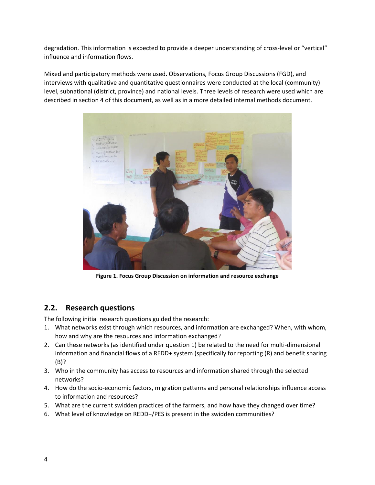degradation. This information is expected to provide a deeper understanding of cross-level or "vertical" influence and information flows.

Mixed and participatory methods were used. Observations, Focus Group Discussions (FGD), and interviews with qualitative and quantitative questionnaires were conducted at the local (community) level, subnational (district, province) and national levels. Three levels of research were used which are described in section 4 of this document, as well as in a more detailed internal methods document.



**Figure 1. Focus Group Discussion on information and resource exchange**

### **2.2. Research questions**

The following initial research questions guided the research:

- 1. What networks exist through which resources, and information are exchanged? When, with whom, how and why are the resources and information exchanged?
- 2. Can these networks (as identified under question 1) be related to the need for multi-dimensional information and financial flows of a REDD+ system (specifically for reporting (R) and benefit sharing (B)?
- 3. Who in the community has access to resources and information shared through the selected networks?
- 4. How do the socio-economic factors, migration patterns and personal relationships influence access to information and resources?
- 5. What are the current swidden practices of the farmers, and how have they changed over time?
- 6. What level of knowledge on REDD+/PES is present in the swidden communities?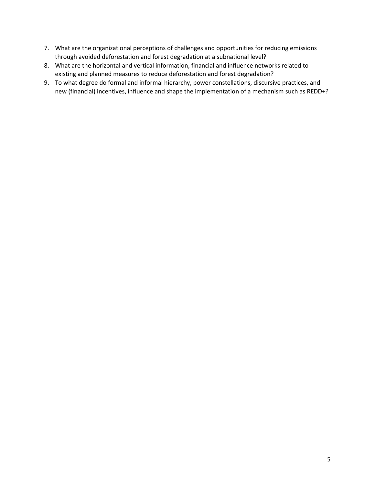- 7. What are the organizational perceptions of challenges and opportunities for reducing emissions through avoided deforestation and forest degradation at a subnational level?
- 8. What are the horizontal and vertical information, financial and influence networks related to existing and planned measures to reduce deforestation and forest degradation?
- 9. To what degree do formal and informal hierarchy, power constellations, discursive practices, and new (financial) incentives, influence and shape the implementation of a mechanism such as REDD+?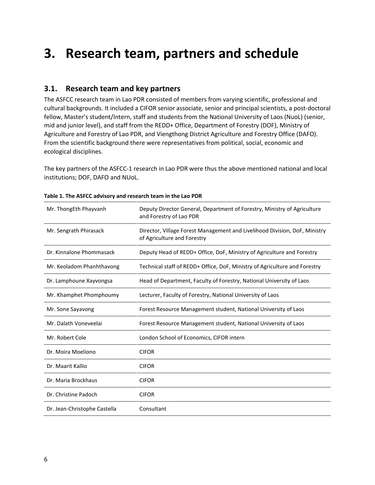### **3. Research team, partners and schedule**

#### **3.1. Research team and key partners**

The ASFCC research team in Lao PDR consisted of members from varying scientific, professional and cultural backgrounds. It included a CIFOR senior associate, senior and principal scientists, a post-doctoral fellow, Master's student/Intern, staff and students from the National University of Laos (NuoL) (senior, mid and junior level), and staff from the REDD+ Office, Department of Forestry (DOF), Ministry of Agriculture and Forestry of Lao PDR, and Viengthong District Agriculture and Forestry Office (DAFO). From the scientific background there were representatives from political, social, economic and ecological disciplines.

The key partners of the ASFCC-1 research in Lao PDR were thus the above mentioned national and local institutions; DOF, DAFO and NUoL.

| Mr. ThongEth Phayvanh        | Deputy Director General, Department of Forestry, Ministry of Agriculture<br>and Forestry of Lao PDR       |  |  |
|------------------------------|-----------------------------------------------------------------------------------------------------------|--|--|
| Mr. Sengrath Phirasack       | Director, Village Forest Management and Livelihood Division, DoF, Ministry<br>of Agriculture and Forestry |  |  |
| Dr. Kinnalone Phommasack     | Deputy Head of REDD+ Office, DoF, Ministry of Agriculture and Forestry                                    |  |  |
| Mr. Keoladom Phanhthavong    | Technical staff of REDD+ Office, DoF, Ministry of Agriculture and Forestry                                |  |  |
| Dr. Lamphoune Xayvongsa      | Head of Department, Faculty of Forestry, National University of Laos                                      |  |  |
| Mr. Khamphet Phomphoumy      | Lecturer, Faculty of Forestry, National University of Laos                                                |  |  |
| Mr. Sone Sayavong            | Forest Resource Management student, National University of Laos                                           |  |  |
| Mr. Dalath Voneveelai        | Forest Resource Management student, National University of Laos                                           |  |  |
| Mr. Robert Cole              | London School of Economics, CIFOR intern                                                                  |  |  |
| Dr. Moira Moeliono           | <b>CIFOR</b>                                                                                              |  |  |
| Dr. Maarit Kallio            | <b>CIFOR</b>                                                                                              |  |  |
| Dr. Maria Brockhaus          | <b>CIFOR</b>                                                                                              |  |  |
| Dr. Christine Padoch         | <b>CIFOR</b>                                                                                              |  |  |
| Dr. Jean-Christophe Castella | Consultant                                                                                                |  |  |

#### **Table 1. The ASFCC advisory and research team in the Lao PDR**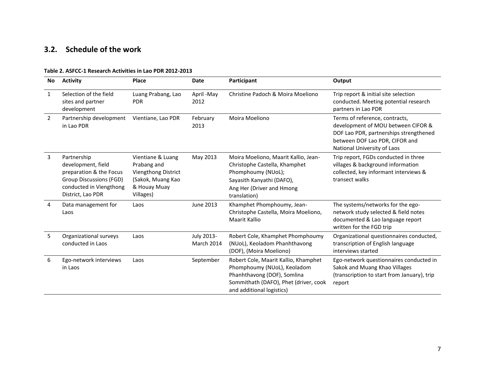### **3.2. Schedule of the work**

| No             | <b>Activity</b>                                                                                                                                | Place                                                                                                     | <b>Date</b>              | Participant                                                                                                                                                              | Output                                                                                                                                                                          |
|----------------|------------------------------------------------------------------------------------------------------------------------------------------------|-----------------------------------------------------------------------------------------------------------|--------------------------|--------------------------------------------------------------------------------------------------------------------------------------------------------------------------|---------------------------------------------------------------------------------------------------------------------------------------------------------------------------------|
| 1              | Selection of the field<br>sites and partner<br>development                                                                                     | Luang Prabang, Lao<br><b>PDR</b>                                                                          | April -May<br>2012       | Christine Padoch & Moira Moeliono                                                                                                                                        | Trip report & initial site selection<br>conducted. Meeting potential research<br>partners in Lao PDR                                                                            |
| $\overline{2}$ | Partnership development<br>in Lao PDR                                                                                                          | Vientiane, Lao PDR                                                                                        | February<br>2013         | Moira Moeliono                                                                                                                                                           | Terms of reference, contracts,<br>development of MOU between CIFOR &<br>DOF Lao PDR, partnerships strengthened<br>between DOF Lao PDR, CIFOR and<br>National University of Laos |
| 3              | Partnership<br>development, field<br>preparation & the Focus<br><b>Group Discussions (FGD)</b><br>conducted in Viengthong<br>District, Lao PDR | Vientiane & Luang<br>Prabang and<br>Viengthong District<br>(Sakok, Muang Kao<br>& Houay Muay<br>Villages) | May 2013                 | Moira Moeliono, Maarit Kallio, Jean-<br>Christophe Castella, Khamphet<br>Phomphoumy (NUoL);<br>Sayasith Kanyathi (DAFO),<br>Ang Her (Driver and Hmong<br>translation)    | Trip report, FGDs conducted in three<br>villages & background information<br>collected, key informant interviews &<br>transect walks                                            |
| 4              | Data management for<br>Laos                                                                                                                    | Laos                                                                                                      | <b>June 2013</b>         | Khamphet Phomphoumy, Jean-<br>Christophe Castella, Moira Moeliono,<br>Maarit Kallio                                                                                      | The systems/networks for the ego-<br>network study selected & field notes<br>documented & Lao language report<br>written for the FGD trip                                       |
| 5              | Organizational surveys<br>conducted in Laos                                                                                                    | Laos                                                                                                      | July 2013-<br>March 2014 | Robert Cole, Khamphet Phomphoumy<br>(NUoL), Keoladom Phanhthavong<br>(DOF), (Moira Moeliono)                                                                             | Organizational questionnaires conducted,<br>transcription of English language<br>interviews started                                                                             |
| 6              | Ego-network interviews<br>in Laos                                                                                                              | Laos                                                                                                      | September                | Robert Cole, Maarit Kallio, Khamphet<br>Phomphoumy (NUoL), Keoladom<br>Phanhthavong (DOF), Somlina<br>Sommithath (DAFO), Phet (driver, cook<br>and additional logistics) | Ego-network questionnaires conducted in<br>Sakok and Muang Khao Villages<br>(transcription to start from January), trip<br>report                                               |

#### **Table 2. ASFCC-1 Research Activities in Lao PDR 2012-2013**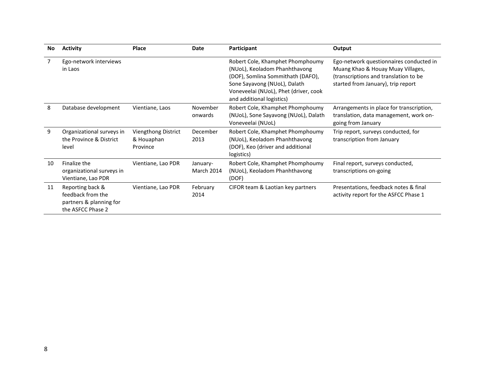| No | <b>Activity</b>                                                                       | <b>Place</b>                                  | Date                   | Participant                                                                                                                                                                                                  | Output                                                                                                                                                      |
|----|---------------------------------------------------------------------------------------|-----------------------------------------------|------------------------|--------------------------------------------------------------------------------------------------------------------------------------------------------------------------------------------------------------|-------------------------------------------------------------------------------------------------------------------------------------------------------------|
|    | Ego-network interviews<br>in Laos                                                     |                                               |                        | Robert Cole, Khamphet Phomphoumy<br>(NUoL), Keoladom Phanhthavong<br>(DOF), Somlina Sommithath (DAFO),<br>Sone Sayavong (NUoL), Dalath<br>Voneveelai (NUoL), Phet (driver, cook<br>and additional logistics) | Ego-network questionnaires conducted in<br>Muang Khao & Houay Muay Villages,<br>(transcriptions and translation to be<br>started from January), trip report |
| 8  | Database development                                                                  | Vientiane, Laos                               | November<br>onwards    | Robert Cole, Khamphet Phomphoumy<br>(NUoL), Sone Sayavong (NUoL), Dalath<br>Voneveelai (NUoL)                                                                                                                | Arrangements in place for transcription,<br>translation, data management, work on-<br>going from January                                                    |
| 9  | Organizational surveys in<br>the Province & District<br>level                         | Viengthong District<br>& Houaphan<br>Province | December<br>2013       | Robert Cole, Khamphet Phomphoumy<br>(NUoL), Keoladom Phanhthavong<br>(DOF), Keo (driver and additional<br>logistics)                                                                                         | Trip report, surveys conducted, for<br>transcription from January                                                                                           |
| 10 | Finalize the<br>organizational surveys in<br>Vientiane, Lao PDR                       | Vientiane, Lao PDR                            | January-<br>March 2014 | Robert Cole, Khamphet Phomphoumy<br>(NUoL), Keoladom Phanhthavong<br>(DOF)                                                                                                                                   | Final report, surveys conducted,<br>transcriptions on-going                                                                                                 |
| 11 | Reporting back &<br>feedback from the<br>partners & planning for<br>the ASFCC Phase 2 | Vientiane, Lao PDR                            | February<br>2014       | CIFOR team & Laotian key partners                                                                                                                                                                            | Presentations, feedback notes & final<br>activity report for the ASFCC Phase 1                                                                              |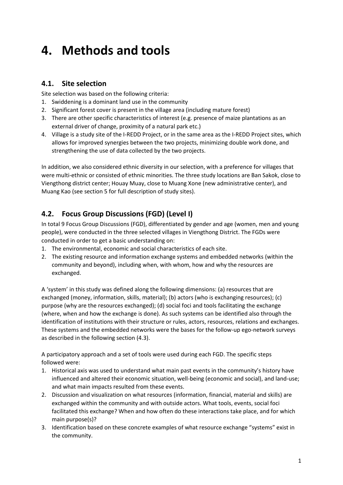### **4. Methods and tools**

### **4.1. Site selection**

Site selection was based on the following criteria:

- 1. Swiddening is a dominant land use in the community
- 2. Significant forest cover is present in the village area (including mature forest)
- 3. There are other specific characteristics of interest (e.g. presence of maize plantations as an external driver of change, proximity of a natural park etc.)
- 4. Village is a study site of the I-REDD Project, or in the same area as the I-REDD Project sites, which allows for improved synergies between the two projects, minimizing double work done, and strengthening the use of data collected by the two projects.

In addition, we also considered ethnic diversity in our selection, with a preference for villages that were multi-ethnic or consisted of ethnic minorities. The three study locations are Ban Sakok, close to Viengthong district center; Houay Muay, close to Muang Xone (new administrative center), and Muang Kao (see section 5 for full description of study sites).

### **4.2. Focus Group Discussions (FGD) (Level I)**

In total 9 Focus Group Discussions (FGD), differentiated by gender and age (women, men and young people), were conducted in the three selected villages in Viengthong District. The FGDs were conducted in order to get a basic understanding on:

- 1. The environmental, economic and social characteristics of each site.
- 2. The existing resource and information exchange systems and embedded networks (within the community and beyond), including when, with whom, how and why the resources are exchanged.

A 'system' in this study was defined along the following dimensions: (a) resources that are exchanged (money, information, skills, material); (b) actors (who is exchanging resources); (c) purpose (why are the resources exchanged); (d) social foci and tools facilitating the exchange (where, when and how the exchange is done). As such systems can be identified also through the identification of institutions with their structure or rules, actors, resources, relations and exchanges. These systems and the embedded networks were the bases for the follow-up ego-network surveys as described in the following section (4.3).

A participatory approach and a set of tools were used during each FGD. The specific steps followed were:

- 1. Historical axis was used to understand what main past events in the community's history have influenced and altered their economic situation, well-being (economic and social), and land-use; and what main impacts resulted from these events.
- 2. Discussion and visualization on what resources (information, financial, material and skills) are exchanged within the community and with outside actors. What tools, events, social foci facilitated this exchange? When and how often do these interactions take place, and for which main purpose(s)?
- 3. Identification based on these concrete examples of what resource exchange "systems" exist in the community.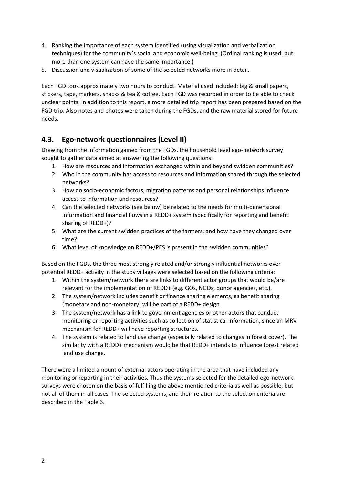- 4. Ranking the importance of each system identified (using visualization and verbalization techniques) for the community's social and economic well-being. (Ordinal ranking is used, but more than one system can have the same importance.)
- 5. Discussion and visualization of some of the selected networks more in detail.

Each FGD took approximately two hours to conduct. Material used included: big & small papers, stickers, tape, markers, snacks & tea & coffee. Each FGD was recorded in order to be able to check unclear points. In addition to this report, a more detailed trip report has been prepared based on the FGD trip. Also notes and photos were taken during the FGDs, and the raw material stored for future needs.

### **4.3. Ego-network questionnaires (Level II)**

Drawing from the information gained from the FGDs, the household level ego-network survey sought to gather data aimed at answering the following questions:

- 1. How are resources and information exchanged within and beyond swidden communities?
- 2. Who in the community has access to resources and information shared through the selected networks?
- 3. How do socio-economic factors, migration patterns and personal relationships influence access to information and resources?
- 4. Can the selected networks (see below) be related to the needs for multi-dimensional information and financial flows in a REDD+ system (specifically for reporting and benefit sharing of REDD+)?
- 5. What are the current swidden practices of the farmers, and how have they changed over time?
- 6. What level of knowledge on REDD+/PES is present in the swidden communities?

Based on the FGDs, the three most strongly related and/or strongly influential networks over potential REDD+ activity in the study villages were selected based on the following criteria:

- 1. Within the system/network there are links to different actor groups that would be/are relevant for the implementation of REDD+ (e.g. GOs, NGOs, donor agencies, etc.).
- 2. The system/network includes benefit or finance sharing elements, as benefit sharing (monetary and non-monetary) will be part of a REDD+ design.
- 3. The system/network has a link to government agencies or other actors that conduct monitoring or reporting activities such as collection of statistical information, since an MRV mechanism for REDD+ will have reporting structures.
- 4. The system is related to land use change (especially related to changes in forest cover). The similarity with a REDD+ mechanism would be that REDD+ intends to influence forest related land use change.

There were a limited amount of external actors operating in the area that have included any monitoring or reporting in their activities. Thus the systems selected for the detailed ego-network surveys were chosen on the basis of fulfilling the above mentioned criteria as well as possible, but not all of them in all cases. The selected systems, and their relation to the selection criteria are described in the Table 3.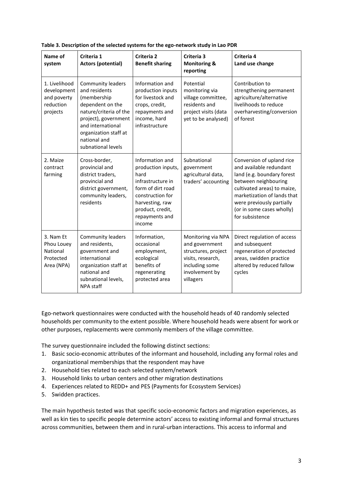| Name of<br>system                                                                                                                                                    | Criteria 1<br><b>Actors (potential)</b>                                                                                                                                                                            | Criteria 2<br><b>Benefit sharing</b>                                                                                                                                           | Criteria 3<br><b>Monitoring &amp;</b><br>reporting                                                                                | Criteria 4<br>Land use change                                                                                                                                                                                                                         |
|----------------------------------------------------------------------------------------------------------------------------------------------------------------------|--------------------------------------------------------------------------------------------------------------------------------------------------------------------------------------------------------------------|--------------------------------------------------------------------------------------------------------------------------------------------------------------------------------|-----------------------------------------------------------------------------------------------------------------------------------|-------------------------------------------------------------------------------------------------------------------------------------------------------------------------------------------------------------------------------------------------------|
| 1. Livelihood<br>development<br>and poverty<br>reduction<br>projects                                                                                                 | <b>Community leaders</b><br>and residents<br>(membership<br>dependent on the<br>nature/criteria of the<br>project), government<br>and international<br>organization staff at<br>national and<br>subnational levels | Information and<br>production inputs<br>for livestock and<br>crops, credit,<br>repayments and<br>income, hard<br>infrastructure                                                | Potential<br>monitoring via<br>village committee,<br>residents and<br>project visits (data<br>yet to be analysed)                 | Contribution to<br>strengthening permanent<br>agriculture/alternative<br>livelihoods to reduce<br>overharvesting/conversion<br>of forest                                                                                                              |
| Cross-border,<br>2. Maize<br>provincial and<br>contract<br>district traders,<br>farming<br>provincial and<br>district government,<br>community leaders,<br>residents |                                                                                                                                                                                                                    | Information and<br>production inputs,<br>hard<br>infrastructure in<br>form of dirt road<br>construction for<br>harvesting, raw<br>product, credit,<br>repayments and<br>income | Subnational<br>government<br>agricultural data,<br>traders' accounting                                                            | Conversion of upland rice<br>and available redundant<br>land (e.g. boundary forest<br>between neighbouring<br>cultivated areas) to maize,<br>marketization of lands that<br>were previously partially<br>(or in some cases wholly)<br>for subsistence |
| 3. Nam Et<br>Phou Louey<br>National<br>Protected<br>Area (NPA)                                                                                                       | <b>Community leaders</b><br>and residents,<br>government and<br>international<br>organization staff at<br>national and<br>subnational levels,<br>NPA staff                                                         | Information,<br>occasional<br>employment,<br>ecological<br>benefits of<br>regenerating<br>protected area                                                                       | Monitoring via NPA<br>and government<br>structures, project<br>visits, research,<br>including some<br>involvement by<br>villagers | Direct regulation of access<br>and subsequent<br>regeneration of protected<br>areas, swidden practice<br>altered by reduced fallow<br>cycles                                                                                                          |

**Table 3. Description of the selected systems for the ego-network study in Lao PDR**

Ego-network questionnaires were conducted with the household heads of 40 randomly selected households per community to the extent possible. Where household heads were absent for work or other purposes, replacements were commonly members of the village committee.

The survey questionnaire included the following distinct sections:

- 1. Basic socio-economic attributes of the informant and household, including any formal roles and organizational memberships that the respondent may have
- 2. Household ties related to each selected system/network
- 3. Household links to urban centers and other migration destinations
- 4. Experiences related to REDD+ and PES (Payments for Ecosystem Services)
- 5. Swidden practices.

The main hypothesis tested was that specific socio-economic factors and migration experiences, as well as kin ties to specific people determine actors' access to existing informal and formal structures across communities, between them and in rural-urban interactions. This access to informal and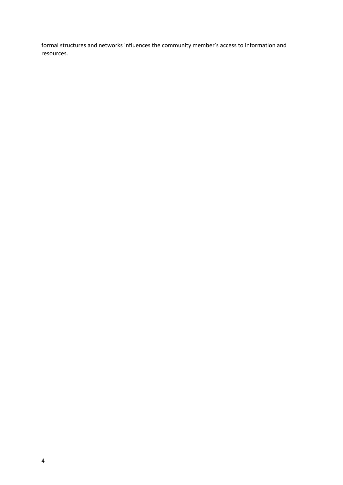formal structures and networks influences the community member's access to information and resources.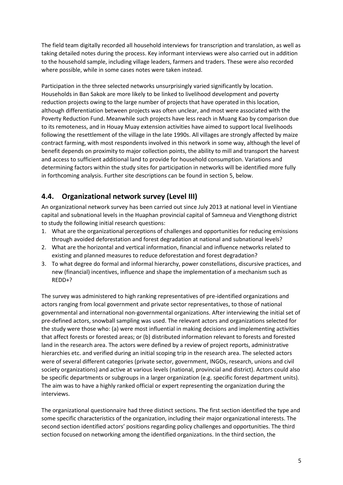The field team digitally recorded all household interviews for transcription and translation, as well as taking detailed notes during the process. Key informant interviews were also carried out in addition to the household sample, including village leaders, farmers and traders. These were also recorded where possible, while in some cases notes were taken instead.

Participation in the three selected networks unsurprisingly varied significantly by location. Households in Ban Sakok are more likely to be linked to livelihood development and poverty reduction projects owing to the large number of projects that have operated in this location, although differentiation between projects was often unclear, and most were associated with the Poverty Reduction Fund. Meanwhile such projects have less reach in Muang Kao by comparison due to its remoteness, and in Houay Muay extension activities have aimed to support local livelihoods following the resettlement of the village in the late 1990s. All villages are strongly affected by maize contract farming, with most respondents involved in this network in some way, although the level of benefit depends on proximity to major collection points, the ability to mill and transport the harvest and access to sufficient additional land to provide for household consumption. Variations and determining factors within the study sites for participation in networks will be identified more fully in forthcoming analysis. Further site descriptions can be found in section 5, below.

### **4.4. Organizational network survey (Level III)**

An organizational network survey has been carried out since July 2013 at national level in Vientiane capital and subnational levels in the Huaphan provincial capital of Samneua and Viengthong district to study the following initial research questions:

- 1. What are the organizational perceptions of challenges and opportunities for reducing emissions through avoided deforestation and forest degradation at national and subnational levels?
- 2. What are the horizontal and vertical information, financial and influence networks related to existing and planned measures to reduce deforestation and forest degradation?
- 3. To what degree do formal and informal hierarchy, power constellations, discursive practices, and new (financial) incentives, influence and shape the implementation of a mechanism such as REDD+?

The survey was administered to high ranking representatives of pre-identified organizations and actors ranging from local government and private sector representatives, to those of national governmental and international non-governmental organizations. After interviewing the initial set of pre-defined actors, snowball sampling was used. The relevant actors and organizations selected for the study were those who: (a) were most influential in making decisions and implementing activities that affect forests or forested areas; or (b) distributed information relevant to forests and forested land in the research area. The actors were defined by a review of project reports, administrative hierarchies etc. and verified during an initial scoping trip in the research area. The selected actors were of several different categories (private sector, government, INGOs, research, unions and civil society organizations) and active at various levels (national, provincial and district). Actors could also be specific departments or subgroups in a larger organization (e.g. specific forest department units). The aim was to have a highly ranked official or expert representing the organization during the interviews.

The organizational questionnaire had three distinct sections. The first section identified the type and some specific characteristics of the organization, including their major organizational interests. The second section identified actors' positions regarding policy challenges and opportunities. The third section focused on networking among the identified organizations. In the third section, the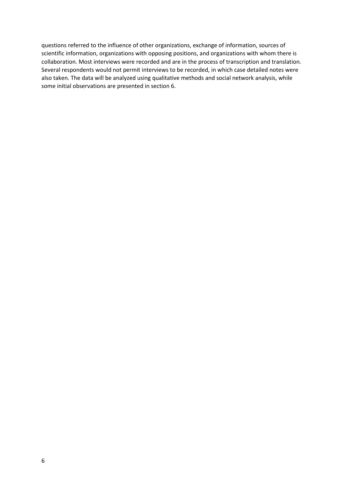questions referred to the influence of other organizations, exchange of information, sources of scientific information, organizations with opposing positions, and organizations with whom there is collaboration. Most interviews were recorded and are in the process of transcription and translation. Several respondents would not permit interviews to be recorded, in which case detailed notes were also taken. The data will be analyzed using qualitative methods and social network analysis, while some initial observations are presented in section 6.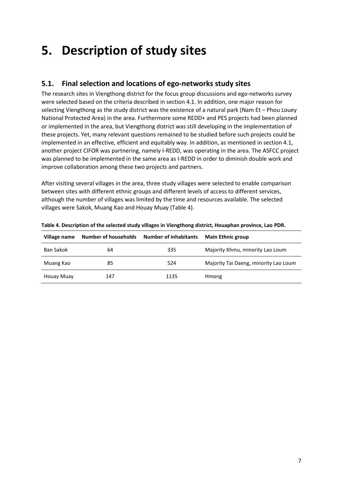## **5. Description of study sites**

### **5.1. Final selection and locations of ego-networks study sites**

The research sites in Viengthong district for the focus group discussions and ego-networks survey were selected based on the criteria described in section 4.1. In addition, one major reason for selecting Viengthong as the study district was the existence of a natural park (Nam Et – Phou Louey National Protected Area) in the area. Furthermore some REDD+ and PES projects had been planned or implemented in the area, but Viengthong district was still developing in the implementation of these projects. Yet, many relevant questions remained to be studied before such projects could be implemented in an effective, efficient and equitably way. In addition, as mentioned in section 4.1, another project CIFOR was partnering, namely I-REDD, was operating in the area. The ASFCC project was planned to be implemented in the same area as I-REDD in order to diminish double work and improve collaboration among these two projects and partners.

After visiting several villages in the area, three study villages were selected to enable comparison between sites with different ethnic groups and different levels of access to different services, although the number of villages was limited by the time and resources available. The selected villages were Sakok, Muang Kao and Houay Muay (Table 4).

| Village name     | Number of households | <b>Number of inhabitants</b> | <b>Main Ethnic group</b>              |
|------------------|----------------------|------------------------------|---------------------------------------|
| <b>Ban Sakok</b> | 64                   | 335                          | Majority Khmu, minority Lao Loum      |
| Muang Kao        | 85                   | 524                          | Majority Tai Daeng, minority Lao Loum |
| Houay Muay       | 147                  | 1135                         | Hmong                                 |

**Table 4. Description of the selected study villages in Viengthong district, Houaphan province, Lao PDR.**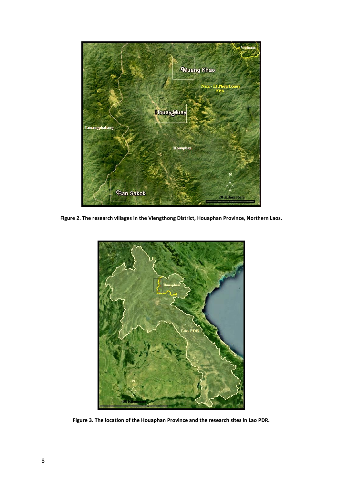

**Figure 2. The research villages in the Viengthong District, Houaphan Province, Northern Laos.**



**Figure 3. The location of the Houaphan Province and the research sites in Lao PDR.**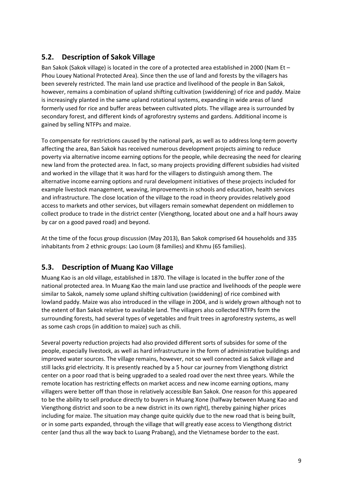### **5.2. Description of Sakok Village**

Ban Sakok (Sakok village) is located in the core of a protected area established in 2000 (Nam Et – Phou Louey National Protected Area). Since then the use of land and forests by the villagers has been severely restricted. The main land use practice and livelihood of the people in Ban Sakok, however, remains a combination of upland shifting cultivation (swiddening) of rice and paddy. Maize is increasingly planted in the same upland rotational systems, expanding in wide areas of land formerly used for rice and buffer areas between cultivated plots. The village area is surrounded by secondary forest, and different kinds of agroforestry systems and gardens. Additional income is gained by selling NTFPs and maize.

To compensate for restrictions caused by the national park, as well as to address long-term poverty affecting the area, Ban Sakok has received numerous development projects aiming to reduce poverty via alternative income earning options for the people, while decreasing the need for clearing new land from the protected area. In fact, so many projects providing different subsidies had visited and worked in the village that it was hard for the villagers to distinguish among them. The alternative income earning options and rural development initiatives of these projects included for example livestock management, weaving, improvements in schools and education, health services and infrastructure. The close location of the village to the road in theory provides relatively good access to markets and other services, but villagers remain somewhat dependent on middlemen to collect produce to trade in the district center (Viengthong, located about one and a half hours away by car on a good paved road) and beyond.

At the time of the focus group discussion (May 2013), Ban Sakok comprised 64 households and 335 inhabitants from 2 ethnic groups: Lao Loum (8 families) and Khmu (65 families).

### **5.3. Description of Muang Kao Village**

Muang Kao is an old village, established in 1870. The village is located in the buffer zone of the national protected area. In Muang Kao the main land use practice and livelihoods of the people were similar to Sakok, namely some upland shifting cultivation (swiddening) of rice combined with lowland paddy. Maize was also introduced in the village in 2004, and is widely grown although not to the extent of Ban Sakok relative to available land. The villagers also collected NTFPs form the surrounding forests, had several types of vegetables and fruit trees in agroforestry systems, as well as some cash crops (in addition to maize) such as chili.

Several poverty reduction projects had also provided different sorts of subsides for some of the people, especially livestock, as well as hard infrastructure in the form of administrative buildings and improved water sources. The village remains, however, not so well connected as Sakok village and still lacks grid electricity. It is presently reached by a 5 hour car journey from Viengthong district center on a poor road that is being upgraded to a sealed road over the next three years. While the remote location has restricting effects on market access and new income earning options, many villagers were better off than those in relatively accessible Ban Sakok. One reason for this appeared to be the ability to sell produce directly to buyers in Muang Xone (halfway between Muang Kao and Viengthong district and soon to be a new district in its own right), thereby gaining higher prices including for maize. The situation may change quite quickly due to the new road that is being built, or in some parts expanded, through the village that will greatly ease access to Viengthong district center (and thus all the way back to Luang Prabang), and the Vietnamese border to the east.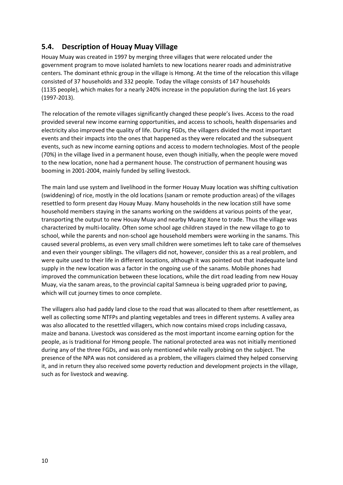### **5.4. Description of Houay Muay Village**

Houay Muay was created in 1997 by merging three villages that were relocated under the government program to move isolated hamlets to new locations nearer roads and administrative centers. The dominant ethnic group in the village is Hmong. At the time of the relocation this village consisted of 37 households and 332 people. Today the village consists of 147 households (1135 people), which makes for a nearly 240% increase in the population during the last 16 years (1997-2013).

The relocation of the remote villages significantly changed these people's lives. Access to the road provided several new income earning opportunities, and access to schools, health dispensaries and electricity also improved the quality of life. During FGDs, the villagers divided the most important events and their impacts into the ones that happened as they were relocated and the subsequent events, such as new income earning options and access to modern technologies. Most of the people (70%) in the village lived in a permanent house, even though initially, when the people were moved to the new location, none had a permanent house. The construction of permanent housing was booming in 2001-2004, mainly funded by selling livestock.

The main land use system and livelihood in the former Houay Muay location was shifting cultivation (swiddening) of rice, mostly in the old locations (sanam or remote production areas) of the villages resettled to form present day Houay Muay. Many households in the new location still have some household members staying in the sanams working on the swiddens at various points of the year, transporting the output to new Houay Muay and nearby Muang Xone to trade. Thus the village was characterized by multi-locality. Often some school age children stayed in the new village to go to school, while the parents and non-school age household members were working in the sanams. This caused several problems, as even very small children were sometimes left to take care of themselves and even their younger siblings. The villagers did not, however, consider this as a real problem, and were quite used to their life in different locations, although it was pointed out that inadequate land supply in the new location was a factor in the ongoing use of the sanams. Mobile phones had improved the communication between these locations, while the dirt road leading from new Houay Muay, via the sanam areas, to the provincial capital Samneua is being upgraded prior to paving, which will cut journey times to once complete.

The villagers also had paddy land close to the road that was allocated to them after resettlement, as well as collecting some NTFPs and planting vegetables and trees in different systems. A valley area was also allocated to the resettled villagers, which now contains mixed crops including cassava, maize and banana. Livestock was considered as the most important income earning option for the people, as is traditional for Hmong people. The national protected area was not initially mentioned during any of the three FGDs, and was only mentioned while really probing on the subject. The presence of the NPA was not considered as a problem, the villagers claimed they helped conserving it, and in return they also received some poverty reduction and development projects in the village, such as for livestock and weaving.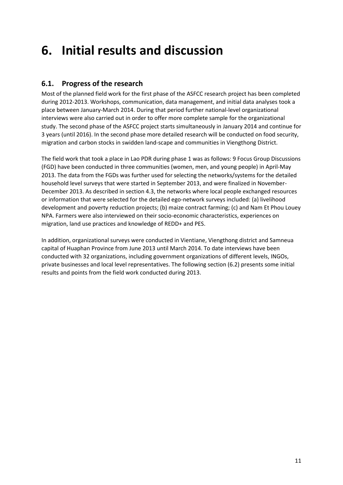## **6. Initial results and discussion**

### **6.1. Progress of the research**

Most of the planned field work for the first phase of the ASFCC research project has been completed during 2012-2013. Workshops, communication, data management, and initial data analyses took a place between January-March 2014. During that period further national-level organizational interviews were also carried out in order to offer more complete sample for the organizational study. The second phase of the ASFCC project starts simultaneously in January 2014 and continue for 3 years (until 2016). In the second phase more detailed research will be conducted on food security, migration and carbon stocks in swidden land-scape and communities in Viengthong District.

The field work that took a place in Lao PDR during phase 1 was as follows: 9 Focus Group Discussions (FGD) have been conducted in three communities (women, men, and young people) in April-May 2013. The data from the FGDs was further used for selecting the networks/systems for the detailed household level surveys that were started in September 2013, and were finalized in November-December 2013. As described in section 4.3, the networks where local people exchanged resources or information that were selected for the detailed ego-network surveys included: (a) livelihood development and poverty reduction projects; (b) maize contract farming; (c) and Nam Et Phou Louey NPA. Farmers were also interviewed on their socio-economic characteristics, experiences on migration, land use practices and knowledge of REDD+ and PES.

In addition, organizational surveys were conducted in Vientiane, Viengthong district and Samneua capital of Huaphan Province from June 2013 until March 2014. To date interviews have been conducted with 32 organizations, including government organizations of different levels, INGOs, private businesses and local level representatives. The following section (6.2) presents some initial results and points from the field work conducted during 2013.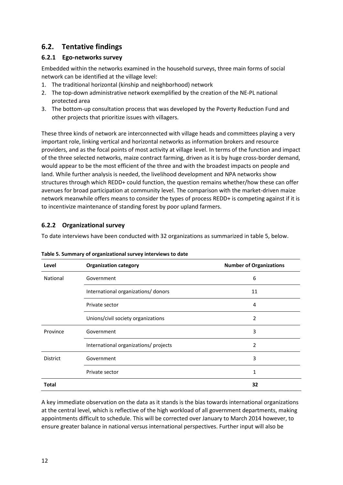### **6.2. Tentative findings**

#### **6.2.1 Ego-networks survey**

Embedded within the networks examined in the household surveys, three main forms of social network can be identified at the village level:

- 1. The traditional horizontal (kinship and neighborhood) network
- 2. The top-down administrative network exemplified by the creation of the NE-PL national protected area
- 3. The bottom-up consultation process that was developed by the Poverty Reduction Fund and other projects that prioritize issues with villagers.

These three kinds of network are interconnected with village heads and committees playing a very important role, linking vertical and horizontal networks as information brokers and resource providers, and as the focal points of most activity at village level. In terms of the function and impact of the three selected networks, maize contract farming, driven as it is by huge cross-border demand, would appear to be the most efficient of the three and with the broadest impacts on people and land. While further analysis is needed, the livelihood development and NPA networks show structures through which REDD+ could function, the question remains whether/how these can offer avenues for broad participation at community level. The comparison with the market-driven maize network meanwhile offers means to consider the types of process REDD+ is competing against if it is to incentivize maintenance of standing forest by poor upland farmers.

#### **6.2.2 Organizational survey**

To date interviews have been conducted with 32 organizations as summarized in table 5, below.

| Level           | <b>Organization category</b>          | <b>Number of Organizations</b> |
|-----------------|---------------------------------------|--------------------------------|
| National        | Government                            | 6                              |
|                 | International organizations/ donors   | 11                             |
|                 | Private sector                        | 4                              |
|                 | Unions/civil society organizations    | 2                              |
| Province        | Government                            | 3                              |
|                 | International organizations/ projects | $\overline{\phantom{a}}$       |
| <b>District</b> | Government                            | 3                              |
|                 | Private sector                        | 1                              |
| <b>Total</b>    |                                       | 32                             |

**Table 5. Summary of organizational survey interviews to date** 

A key immediate observation on the data as it stands is the bias towards international organizations at the central level, which is reflective of the high workload of all government departments, making appointments difficult to schedule. This will be corrected over January to March 2014 however, to ensure greater balance in national versus international perspectives. Further input will also be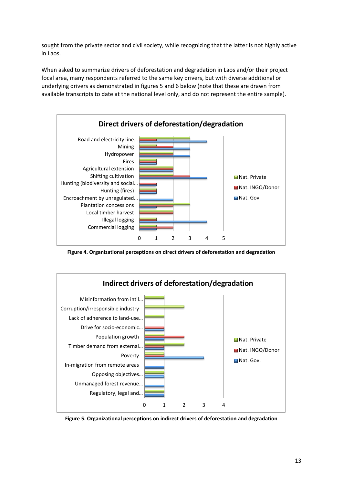sought from the private sector and civil society, while recognizing that the latter is not highly active in Laos.

When asked to summarize drivers of deforestation and degradation in Laos and/or their project focal area, many respondents referred to the same key drivers, but with diverse additional or underlying drivers as demonstrated in figures 5 and 6 below (note that these are drawn from available transcripts to date at the national level only, and do not represent the entire sample).



**Figure 4. Organizational perceptions on direct drivers of deforestation and degradation**



**Figure 5. Organizational perceptions on indirect drivers of deforestation and degradation**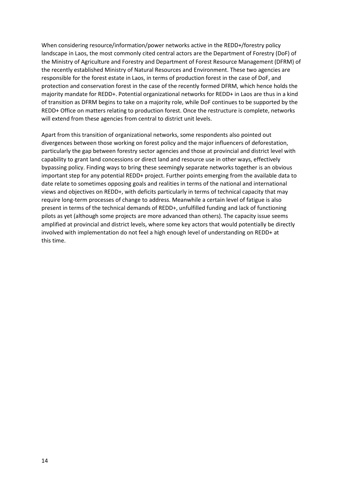When considering resource/information/power networks active in the REDD+/forestry policy landscape in Laos, the most commonly cited central actors are the Department of Forestry (DoF) of the Ministry of Agriculture and Forestry and Department of Forest Resource Management (DFRM) of the recently established Ministry of Natural Resources and Environment. These two agencies are responsible for the forest estate in Laos, in terms of production forest in the case of DoF, and protection and conservation forest in the case of the recently formed DFRM, which hence holds the majority mandate for REDD+. Potential organizational networks for REDD+ in Laos are thus in a kind of transition as DFRM begins to take on a majority role, while DoF continues to be supported by the REDD+ Office on matters relating to production forest. Once the restructure is complete, networks will extend from these agencies from central to district unit levels.

Apart from this transition of organizational networks, some respondents also pointed out divergences between those working on forest policy and the major influencers of deforestation, particularly the gap between forestry sector agencies and those at provincial and district level with capability to grant land concessions or direct land and resource use in other ways, effectively bypassing policy. Finding ways to bring these seemingly separate networks together is an obvious important step for any potential REDD+ project. Further points emerging from the available data to date relate to sometimes opposing goals and realities in terms of the national and international views and objectives on REDD+, with deficits particularly in terms of technical capacity that may require long-term processes of change to address. Meanwhile a certain level of fatigue is also present in terms of the technical demands of REDD+, unfulfilled funding and lack of functioning pilots as yet (although some projects are more advanced than others). The capacity issue seems amplified at provincial and district levels, where some key actors that would potentially be directly involved with implementation do not feel a high enough level of understanding on REDD+ at this time.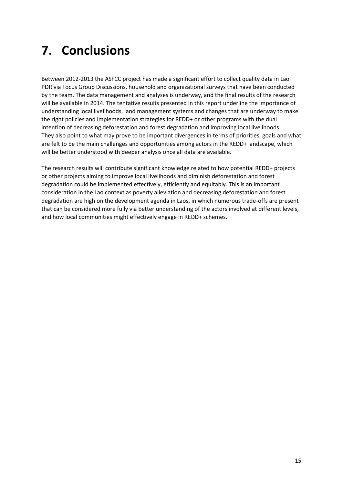# **7. Conclusions**

Between 2012-2013 the ASFCC project has made a significant effort to collect quality data in Lao PDR via Focus Group Discussions, household and organizational surveys that have been conducted by the team. The data management and analyses is underway, and the final results of the research will be available in 2014. The tentative results presented in this report underline the importance of understanding local livelihoods, land management systems and changes that are underway to make the right policies and implementation strategies for REDD+ or other programs with the dual intention of decreasing deforestation and forest degradation and improving local livelihoods. They also point to what may prove to be important divergences in terms of priorities, goals and what are felt to be the main challenges and opportunities among actors in the REDD+ landscape, which will be better understood with deeper analysis once all data are available.

The research results will contribute significant knowledge related to how potential REDD+ projects or other projects aiming to improve local livelihoods and diminish deforestation and forest degradation could be implemented effectively, efficiently and equitably. This is an important consideration in the Lao context as poverty alleviation and decreasing deforestation and forest degradation are high on the development agenda in Laos, in which numerous trade-offs are present that can be considered more fully via better understanding of the actors involved at different levels, and how local communities might effectively engage in REDD+ schemes.